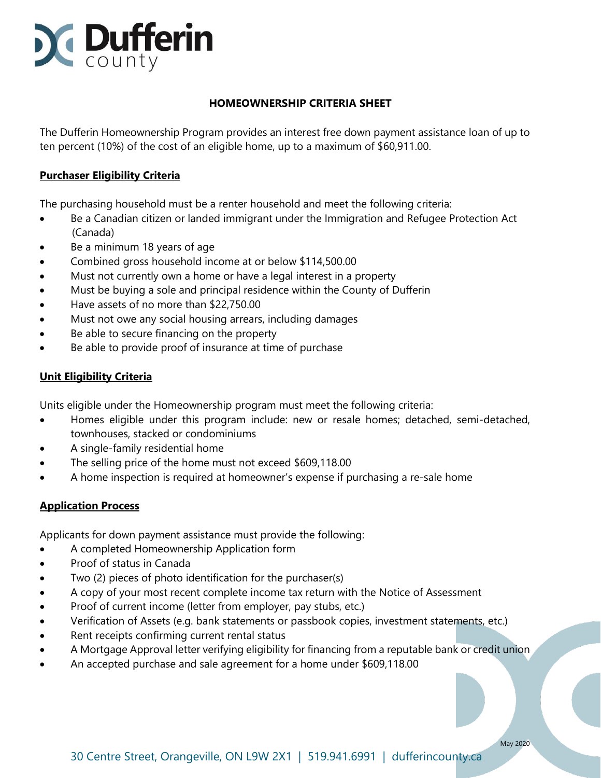

# **HOMEOWNERSHIP CRITERIA SHEET**

The Dufferin Homeownership Program provides an interest free down payment assistance loan of up to ten percent (10%) of the cost of an eligible home, up to a maximum of \$60,911.00.

### **Purchaser Eligibility Criteria**

The purchasing household must be a renter household and meet the following criteria:

- Be a Canadian citizen or landed immigrant under the Immigration and Refugee Protection Act (Canada)
- Be a minimum 18 years of age
- Combined gross household income at or below \$114,500.00
- Must not currently own a home or have a legal interest in a property
- Must be buying a sole and principal residence within the County of Dufferin
- Have assets of no more than \$22,750.00
- Must not owe any social housing arrears, including damages
- Be able to secure financing on the property
- Be able to provide proof of insurance at time of purchase

# **Unit Eligibility Criteria**

Units eligible under the Homeownership program must meet the following criteria:

- Homes eligible under this program include: new or resale homes; detached, semi-detached, townhouses, stacked or condominiums
- A single-family residential home
- The selling price of the home must not exceed \$609,118.00
- A home inspection is required at homeowner's expense if purchasing a re-sale home

### **Application Process**

Applicants for down payment assistance must provide the following:

- A completed Homeownership Application form
- Proof of status in Canada
- Two (2) pieces of photo identification for the purchaser(s)
- A copy of your most recent complete income tax return with the Notice of Assessment
- Proof of current income (letter from employer, pay stubs, etc.)
- Verification of Assets (e.g. bank statements or passbook copies, investment statements, etc.)
- Rent receipts confirming current rental status
- A Mortgage Approval letter verifying eligibility for financing from a reputable bank or credit union
- An accepted purchase and sale agreement for a home under \$609,118.00

May 2020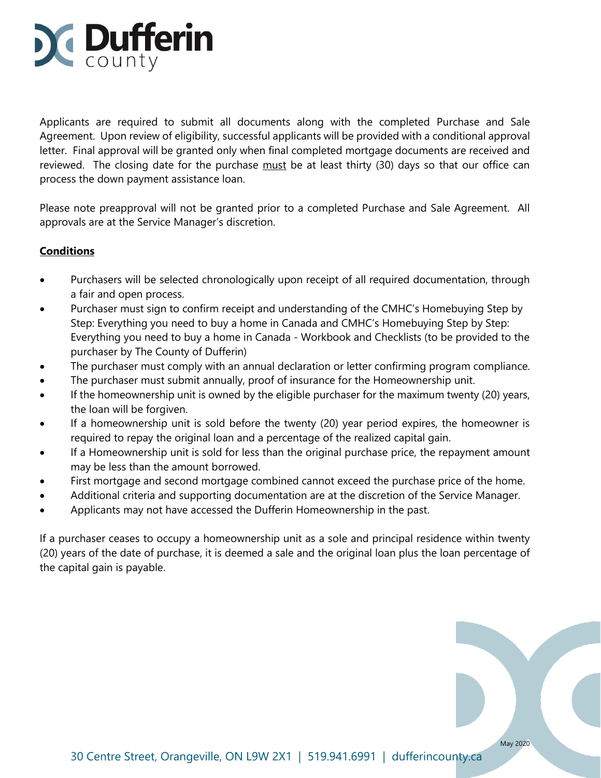

Applicants are required to submit all documents along with the completed Purchase and Sale Agreement. Upon review of eligibility, successful applicants will be provided with a conditional approval letter. Final approval will be granted only when final completed mortgage documents are received and reviewed. The closing date for the purchase must be at least thirty (30) days so that our office can process the down payment assistance loan.

Please note preapproval will not be granted prior to a completed Purchase and Sale Agreement. All approvals are at the Service Manager's discretion.

# **Conditions**

- Purchasers will be selected chronologically upon receipt of all required documentation, through a fair and open process.
- Purchaser must sign to confirm receipt and understanding of the CMHC's Homebuying Step by Step: Everything you need to buy a home in Canada and CMHC's Homebuying Step by Step: Everything you need to buy a home in Canada - Workbook and Checklists (to be provided to the purchaser by The County of Dufferin)
- The purchaser must comply with an annual declaration or letter confirming program compliance.
- The purchaser must submit annually, proof of insurance for the Homeownership unit.
- If the homeownership unit is owned by the eligible purchaser for the maximum twenty (20) years, the loan will be forgiven.
- If a homeownership unit is sold before the twenty (20) year period expires, the homeowner is required to repay the original loan and a percentage of the realized capital gain.
- If a Homeownership unit is sold for less than the original purchase price, the repayment amount may be less than the amount borrowed.
- First mortgage and second mortgage combined cannot exceed the purchase price of the home.
- Additional criteria and supporting documentation are at the discretion of the Service Manager.
- Applicants may not have accessed the Dufferin Homeownership in the past.

If a purchaser ceases to occupy a homeownership unit as a sole and principal residence within twenty (20) years of the date of purchase, it is deemed a sale and the original loan plus the loan percentage of the capital gain is payable.

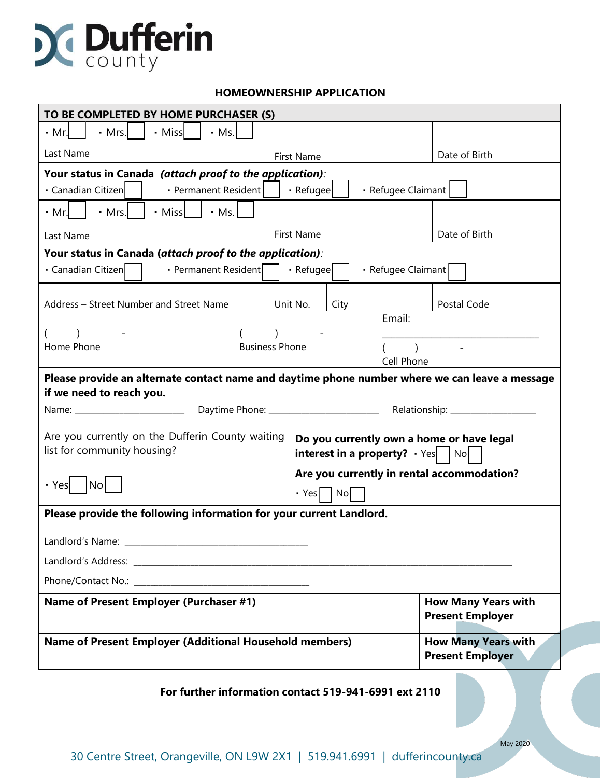

### **HOMEOWNERSHIP APPLICATION**

| TO BE COMPLETED BY HOME PURCHASER (S)                                                                                      |                       |                   |                                                   |  |                                                       |                                                       |               |  |  |
|----------------------------------------------------------------------------------------------------------------------------|-----------------------|-------------------|---------------------------------------------------|--|-------------------------------------------------------|-------------------------------------------------------|---------------|--|--|
| <b>Miss</b><br>$·$ Ms.<br>• Mr.l<br>$\cdot$ Mrs.                                                                           |                       |                   |                                                   |  |                                                       |                                                       |               |  |  |
| Last Name                                                                                                                  |                       |                   | First Name                                        |  |                                                       | Date of Birth                                         |               |  |  |
| Your status in Canada (attach proof to the application):                                                                   |                       |                   |                                                   |  |                                                       |                                                       |               |  |  |
| · Canadian Citizen<br>• Permanent Resident                                                                                 |                       |                   | · Refugee                                         |  |                                                       | · Refugee Claimant                                    |               |  |  |
| • Missl<br>$-Ms.$<br>$\cdot$ Mrs.<br>$\cdot$ Mr.                                                                           |                       |                   |                                                   |  |                                                       |                                                       |               |  |  |
| Last Name                                                                                                                  |                       | <b>First Name</b> |                                                   |  |                                                       |                                                       | Date of Birth |  |  |
| Your status in Canada (attach proof to the application):                                                                   |                       |                   |                                                   |  |                                                       |                                                       |               |  |  |
| · Canadian Citizen<br>· Permanent Resident                                                                                 |                       |                   | · Refugee                                         |  |                                                       | · Refugee Claimant                                    |               |  |  |
|                                                                                                                            |                       |                   |                                                   |  |                                                       |                                                       |               |  |  |
| Address - Street Number and Street Name                                                                                    |                       |                   | Unit No.<br>City                                  |  |                                                       | Email:                                                | Postal Code   |  |  |
| $\lambda$                                                                                                                  |                       |                   |                                                   |  |                                                       |                                                       |               |  |  |
| Home Phone                                                                                                                 | <b>Business Phone</b> |                   |                                                   |  |                                                       | $\sim 10^{11}$ km s $^{-1}$<br>Cell Phone             |               |  |  |
|                                                                                                                            |                       |                   |                                                   |  |                                                       |                                                       |               |  |  |
| Please provide an alternate contact name and daytime phone number where we can leave a message<br>if we need to reach you. |                       |                   |                                                   |  |                                                       |                                                       |               |  |  |
|                                                                                                                            |                       |                   |                                                   |  |                                                       |                                                       |               |  |  |
| Are you currently on the Dufferin County waiting<br>Do you currently own a home or have legal                              |                       |                   |                                                   |  |                                                       |                                                       |               |  |  |
| list for community housing?                                                                                                |                       |                   | <b>interest in a property?</b> $\cdot$ Yes $ No $ |  |                                                       |                                                       |               |  |  |
|                                                                                                                            |                       |                   | Are you currently in rental accommodation?        |  |                                                       |                                                       |               |  |  |
| No <br>• Yes                                                                                                               |                       |                   | · Yes<br><b>No</b>                                |  |                                                       |                                                       |               |  |  |
| Please provide the following information for your current Landlord.                                                        |                       |                   |                                                   |  |                                                       |                                                       |               |  |  |
| Landlord's Name:                                                                                                           |                       |                   |                                                   |  |                                                       |                                                       |               |  |  |
|                                                                                                                            |                       |                   |                                                   |  |                                                       |                                                       |               |  |  |
|                                                                                                                            |                       |                   |                                                   |  |                                                       |                                                       |               |  |  |
| Name of Present Employer (Purchaser #1)                                                                                    |                       |                   |                                                   |  |                                                       | <b>How Many Years with</b><br><b>Present Employer</b> |               |  |  |
| <b>Name of Present Employer (Additional Household members)</b>                                                             |                       |                   |                                                   |  | <b>How Many Years with</b><br><b>Present Employer</b> |                                                       |               |  |  |
| For further information contact 519-941-6991 ext 2110                                                                      |                       |                   |                                                   |  |                                                       |                                                       |               |  |  |

May 2020